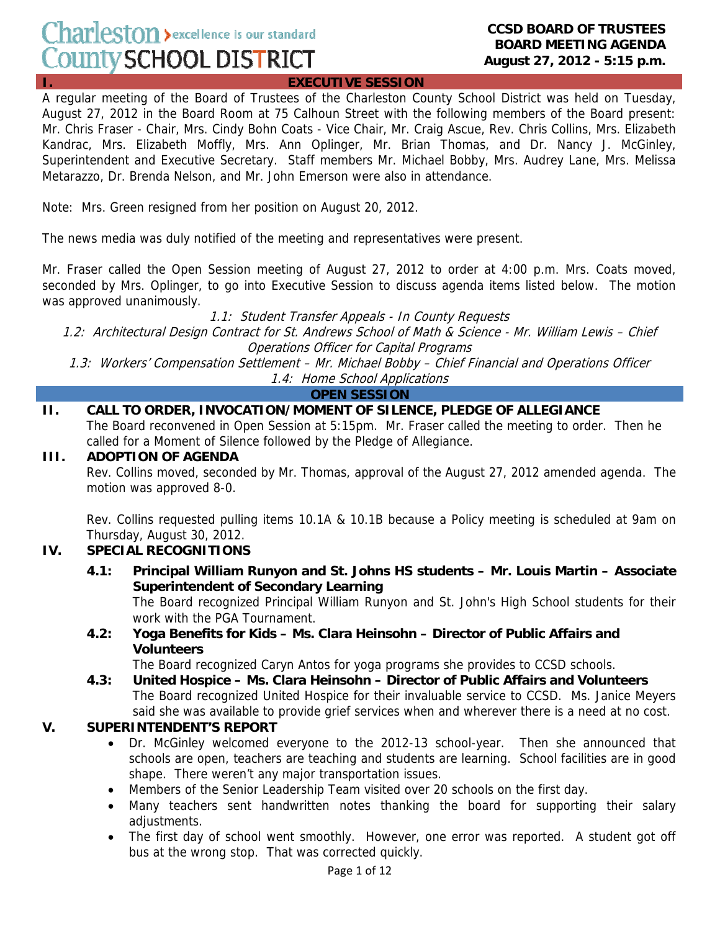# Charleston > excellence is our standard County SCHOOL DISTRICT

#### **CCSD BOARD OF TRUSTEES BOARD MEETING AGENDA August 27, 2012 - 5:15 p.m.**

**I. EXECUTIVE SESSION**

A regular meeting of the Board of Trustees of the Charleston County School District was held on Tuesday, August 27, 2012 in the Board Room at 75 Calhoun Street with the following members of the Board present: Mr. Chris Fraser - Chair, Mrs. Cindy Bohn Coats - Vice Chair, Mr. Craig Ascue, Rev. Chris Collins, Mrs. Elizabeth Kandrac, Mrs. Elizabeth Moffly, Mrs. Ann Oplinger, Mr. Brian Thomas, and Dr. Nancy J. McGinley, Superintendent and Executive Secretary. Staff members Mr. Michael Bobby, Mrs. Audrey Lane, Mrs. Melissa Metarazzo, Dr. Brenda Nelson, and Mr. John Emerson were also in attendance.

Note: Mrs. Green resigned from her position on August 20, 2012.

The news media was duly notified of the meeting and representatives were present.

Mr. Fraser called the Open Session meeting of August 27, 2012 to order at 4:00 p.m. Mrs. Coats moved, seconded by Mrs. Oplinger, to go into Executive Session to discuss agenda items listed below. The motion was approved unanimously.

1.1: Student Transfer Appeals - In County Requests

1.2: Architectural Design Contract for St. Andrews School of Math & Science - Mr. William Lewis – Chief Operations Officer for Capital Programs

1.3: Workers' Compensation Settlement – Mr. Michael Bobby – Chief Financial and Operations Officer 1.4: Home School Applications

**OPEN SESSION**

# **II. CALL TO ORDER, INVOCATION/MOMENT OF SILENCE, PLEDGE OF ALLEGIANCE**

The Board reconvened in Open Session at 5:15pm. Mr. Fraser called the meeting to order. Then he called for a Moment of Silence followed by the Pledge of Allegiance.

#### **III. ADOPTION OF AGENDA**

Rev. Collins moved, seconded by Mr. Thomas, approval of the August 27, 2012 amended agenda. The motion was approved 8-0.

Rev. Collins requested pulling items 10.1A & 10.1B because a Policy meeting is scheduled at 9am on Thursday, August 30, 2012.

# **IV. SPECIAL RECOGNITIONS**

 **4.1: Principal William Runyon and St. Johns HS students – Mr. Louis Martin – Associate Superintendent of Secondary Learning** 

The Board recognized Principal William Runyon and St. John's High School students for their work with the PGA Tournament.

 **4.2: Yoga Benefits for Kids – Ms. Clara Heinsohn – Director of Public Affairs and Volunteers**

The Board recognized Caryn Antos for yoga programs she provides to CCSD schools.

 **4.3: United Hospice – Ms. Clara Heinsohn – Director of Public Affairs and Volunteers**  The Board recognized United Hospice for their invaluable service to CCSD. Ms. Janice Meyers said she was available to provide grief services when and wherever there is a need at no cost.

# **V. SUPERINTENDENT'S REPORT**

- Dr. McGinley welcomed everyone to the 2012-13 school-year. Then she announced that schools are open, teachers are teaching and students are learning. School facilities are in good shape. There weren't any major transportation issues.
- Members of the Senior Leadership Team visited over 20 schools on the first day.
- Many teachers sent handwritten notes thanking the board for supporting their salary adjustments.
- The first day of school went smoothly. However, one error was reported. A student got off bus at the wrong stop. That was corrected quickly.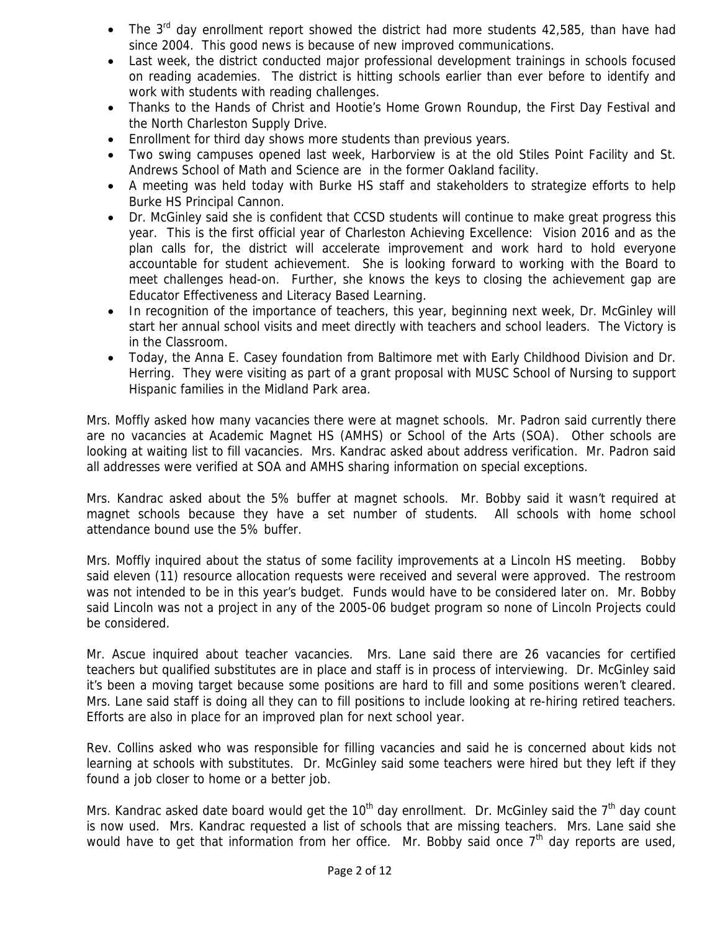- The  $3^{rd}$  day enrollment report showed the district had more students 42,585, than have had since 2004. This good news is because of new improved communications.
- Last week, the district conducted major professional development trainings in schools focused on reading academies. The district is hitting schools earlier than ever before to identify and work with students with reading challenges.
- Thanks to the Hands of Christ and Hootie's Home Grown Roundup, the First Day Festival and the North Charleston Supply Drive.
- Enrollment for third day shows more students than previous years.
- Two swing campuses opened last week, Harborview is at the old Stiles Point Facility and St. Andrews School of Math and Science are in the former Oakland facility.
- A meeting was held today with Burke HS staff and stakeholders to strategize efforts to help Burke HS Principal Cannon.
- Dr. McGinley said she is confident that CCSD students will continue to make great progress this year. This is the first official year of Charleston Achieving Excellence: Vision 2016 and as the plan calls for, the district will accelerate improvement and work hard to hold everyone accountable for student achievement. She is looking forward to working with the Board to meet challenges head-on. Further, she knows the keys to closing the achievement gap are Educator Effectiveness and Literacy Based Learning.
- In recognition of the importance of teachers, this year, beginning next week, Dr. McGinley will start her annual school visits and meet directly with teachers and school leaders. The Victory is in the Classroom.
- Today, the Anna E. Casey foundation from Baltimore met with Early Childhood Division and Dr. Herring. They were visiting as part of a grant proposal with MUSC School of Nursing to support Hispanic families in the Midland Park area.

Mrs. Moffly asked how many vacancies there were at magnet schools. Mr. Padron said currently there are no vacancies at Academic Magnet HS (AMHS) or School of the Arts (SOA). Other schools are looking at waiting list to fill vacancies. Mrs. Kandrac asked about address verification. Mr. Padron said all addresses were verified at SOA and AMHS sharing information on special exceptions.

Mrs. Kandrac asked about the 5% buffer at magnet schools. Mr. Bobby said it wasn't required at magnet schools because they have a set number of students. All schools with home school attendance bound use the 5% buffer.

Mrs. Moffly inquired about the status of some facility improvements at a Lincoln HS meeting. Bobby said eleven (11) resource allocation requests were received and several were approved. The restroom was not intended to be in this year's budget. Funds would have to be considered later on. Mr. Bobby said Lincoln was not a project in any of the 2005-06 budget program so none of Lincoln Projects could be considered.

Mr. Ascue inquired about teacher vacancies. Mrs. Lane said there are 26 vacancies for certified teachers but qualified substitutes are in place and staff is in process of interviewing. Dr. McGinley said it's been a moving target because some positions are hard to fill and some positions weren't cleared. Mrs. Lane said staff is doing all they can to fill positions to include looking at re-hiring retired teachers. Efforts are also in place for an improved plan for next school year.

Rev. Collins asked who was responsible for filling vacancies and said he is concerned about kids not learning at schools with substitutes. Dr. McGinley said some teachers were hired but they left if they found a job closer to home or a better job.

Mrs. Kandrac asked date board would get the 10<sup>th</sup> day enrollment. Dr. McGinley said the 7<sup>th</sup> day count is now used. Mrs. Kandrac requested a list of schools that are missing teachers. Mrs. Lane said she would have to get that information from her office. Mr. Bobby said once  $7<sup>th</sup>$  day reports are used,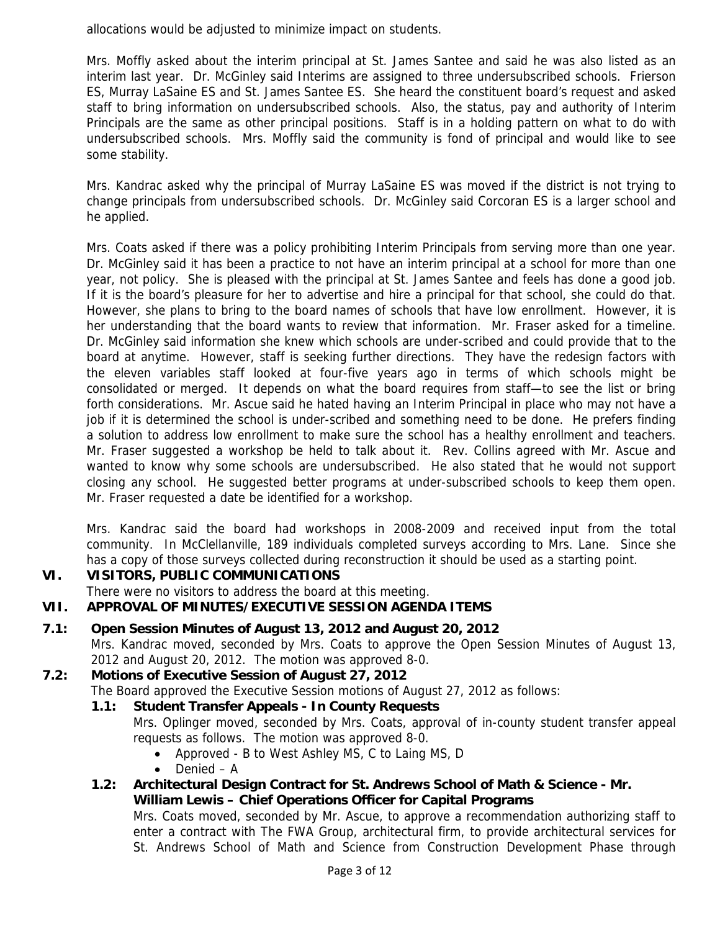allocations would be adjusted to minimize impact on students.

Mrs. Moffly asked about the interim principal at St. James Santee and said he was also listed as an interim last year. Dr. McGinley said Interims are assigned to three undersubscribed schools. Frierson ES, Murray LaSaine ES and St. James Santee ES. She heard the constituent board's request and asked staff to bring information on undersubscribed schools. Also, the status, pay and authority of Interim Principals are the same as other principal positions. Staff is in a holding pattern on what to do with undersubscribed schools. Mrs. Moffly said the community is fond of principal and would like to see some stability.

Mrs. Kandrac asked why the principal of Murray LaSaine ES was moved if the district is not trying to change principals from undersubscribed schools. Dr. McGinley said Corcoran ES is a larger school and he applied.

Mrs. Coats asked if there was a policy prohibiting Interim Principals from serving more than one year. Dr. McGinley said it has been a practice to not have an interim principal at a school for more than one year, not policy. She is pleased with the principal at St. James Santee and feels has done a good job. If it is the board's pleasure for her to advertise and hire a principal for that school, she could do that. However, she plans to bring to the board names of schools that have low enrollment. However, it is her understanding that the board wants to review that information. Mr. Fraser asked for a timeline. Dr. McGinley said information she knew which schools are under-scribed and could provide that to the board at anytime. However, staff is seeking further directions. They have the redesign factors with the eleven variables staff looked at four-five years ago in terms of which schools might be consolidated or merged. It depends on what the board requires from staff—to see the list or bring forth considerations. Mr. Ascue said he hated having an Interim Principal in place who may not have a job if it is determined the school is under-scribed and something need to be done. He prefers finding a solution to address low enrollment to make sure the school has a healthy enrollment and teachers. Mr. Fraser suggested a workshop be held to talk about it. Rev. Collins agreed with Mr. Ascue and wanted to know why some schools are undersubscribed. He also stated that he would not support closing any school. He suggested better programs at under-subscribed schools to keep them open. Mr. Fraser requested a date be identified for a workshop.

Mrs. Kandrac said the board had workshops in 2008-2009 and received input from the total community. In McClellanville, 189 individuals completed surveys according to Mrs. Lane. Since she has a copy of those surveys collected during reconstruction it should be used as a starting point.

# **VI. VISITORS, PUBLIC COMMUNICATIONS**

There were no visitors to address the board at this meeting.

# **VII. APPROVAL OF MINUTES/EXECUTIVE SESSION AGENDA ITEMS**

**7.1: Open Session Minutes of August 13, 2012 and August 20, 2012** 

Mrs. Kandrac moved, seconded by Mrs. Coats to approve the Open Session Minutes of August 13, 2012 and August 20, 2012. The motion was approved 8-0.

# **7.2: Motions of Executive Session of August 27, 2012**

The Board approved the Executive Session motions of August 27, 2012 as follows:

# **1.1: Student Transfer Appeals - In County Requests**

Mrs. Oplinger moved, seconded by Mrs. Coats, approval of in-county student transfer appeal requests as follows. The motion was approved 8-0.

- Approved B to West Ashley MS, C to Laing MS, D
- Denied A
- **1.2: Architectural Design Contract for St. Andrews School of Math & Science Mr. William Lewis – Chief Operations Officer for Capital Programs**

Mrs. Coats moved, seconded by Mr. Ascue, to approve a recommendation authorizing staff to enter a contract with The FWA Group, architectural firm, to provide architectural services for St. Andrews School of Math and Science from Construction Development Phase through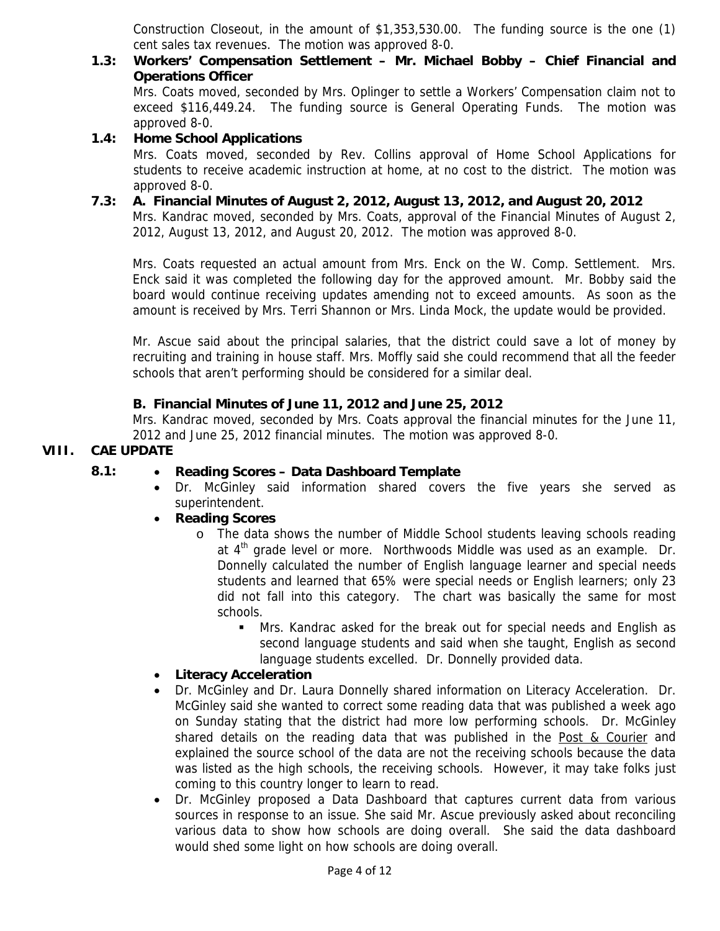Construction Closeout, in the amount of \$1,353,530.00. The funding source is the one (1) cent sales tax revenues. The motion was approved 8-0.

# **1.3: Workers' Compensation Settlement – Mr. Michael Bobby – Chief Financial and Operations Officer**

Mrs. Coats moved, seconded by Mrs. Oplinger to settle a Workers' Compensation claim not to exceed \$116,449.24. The funding source is General Operating Funds. The motion was approved 8-0.

# **1.4: Home School Applications**

Mrs. Coats moved, seconded by Rev. Collins approval of Home School Applications for students to receive academic instruction at home, at no cost to the district. The motion was approved 8-0.

# **7.3: A. Financial Minutes of August 2, 2012, August 13, 2012, and August 20, 2012**

Mrs. Kandrac moved, seconded by Mrs. Coats, approval of the Financial Minutes of August 2, 2012, August 13, 2012, and August 20, 2012. The motion was approved 8-0.

Mrs. Coats requested an actual amount from Mrs. Enck on the W. Comp. Settlement. Mrs. Enck said it was completed the following day for the approved amount. Mr. Bobby said the board would continue receiving updates amending not to exceed amounts. As soon as the amount is received by Mrs. Terri Shannon or Mrs. Linda Mock, the update would be provided.

Mr. Ascue said about the principal salaries, that the district could save a lot of money by recruiting and training in house staff. Mrs. Moffly said she could recommend that all the feeder schools that aren't performing should be considered for a similar deal.

# **B. Financial Minutes of June 11, 2012 and June 25, 2012**

Mrs. Kandrac moved, seconded by Mrs. Coats approval the financial minutes for the June 11, 2012 and June 25, 2012 financial minutes. The motion was approved 8-0.

# **VIII. CAE UPDATE**

# **8.1:** • **Reading Scores – Data Dashboard Template**

• Dr. McGinley said information shared covers the five years she served as superintendent.

# • **Reading Scores**

- o The data shows the number of Middle School students leaving schools reading at 4<sup>th</sup> grade level or more. Northwoods Middle was used as an example. Dr. Donnelly calculated the number of English language learner and special needs students and learned that 65% were special needs or English learners; only 23 did not fall into this category. The chart was basically the same for most schools.
	- Mrs. Kandrac asked for the break out for special needs and English as second language students and said when she taught, English as second language students excelled. Dr. Donnelly provided data.

# • **Literacy Acceleration**

- Dr. McGinley and Dr. Laura Donnelly shared information on Literacy Acceleration. Dr. McGinley said she wanted to correct some reading data that was published a week ago on Sunday stating that the district had more low performing schools. Dr. McGinley shared details on the reading data that was published in the Post & Courier and explained the source school of the data are not the receiving schools because the data was listed as the high schools, the receiving schools. However, it may take folks just coming to this country longer to learn to read.
- Dr. McGinley proposed a Data Dashboard that captures current data from various sources in response to an issue. She said Mr. Ascue previously asked about reconciling various data to show how schools are doing overall. She said the data dashboard would shed some light on how schools are doing overall.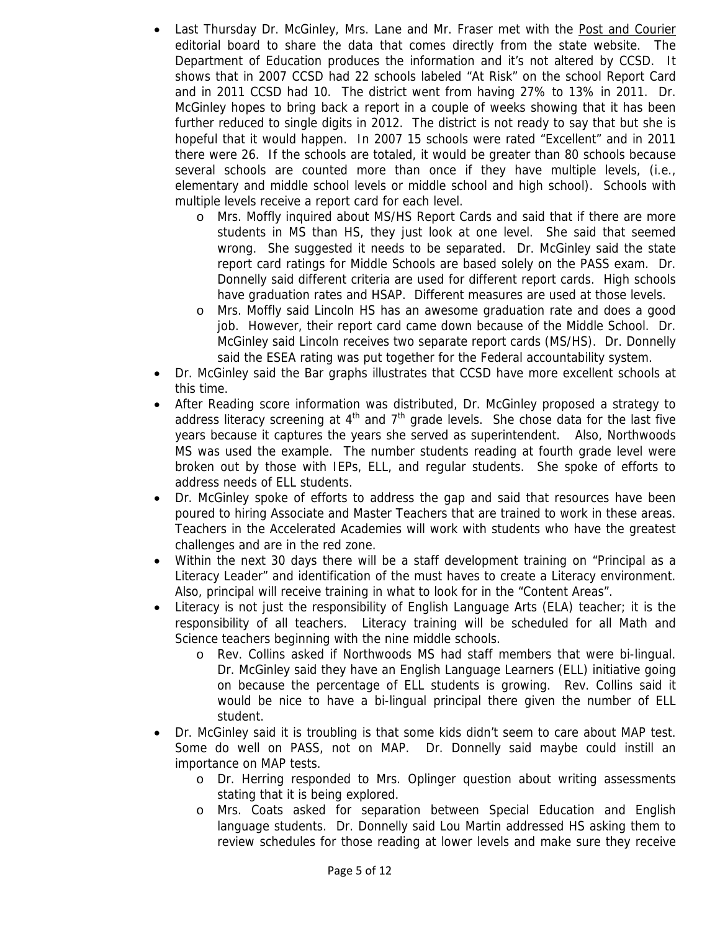- Last Thursday Dr. McGinley, Mrs. Lane and Mr. Fraser met with the Post and Courier editorial board to share the data that comes directly from the state website. The Department of Education produces the information and it's not altered by CCSD. It shows that in 2007 CCSD had 22 schools labeled "At Risk" on the school Report Card and in 2011 CCSD had 10. The district went from having 27% to 13% in 2011. Dr. McGinley hopes to bring back a report in a couple of weeks showing that it has been further reduced to single digits in 2012. The district is not ready to say that but she is hopeful that it would happen. In 2007 15 schools were rated "Excellent" and in 2011 there were 26. If the schools are totaled, it would be greater than 80 schools because several schools are counted more than once if they have multiple levels, (i.e., elementary and middle school levels or middle school and high school). Schools with multiple levels receive a report card for each level.
	- o Mrs. Moffly inquired about MS/HS Report Cards and said that if there are more students in MS than HS, they just look at one level. She said that seemed wrong. She suggested it needs to be separated. Dr. McGinley said the state report card ratings for Middle Schools are based solely on the PASS exam. Dr. Donnelly said different criteria are used for different report cards. High schools have graduation rates and HSAP. Different measures are used at those levels.
	- o Mrs. Moffly said Lincoln HS has an awesome graduation rate and does a good job. However, their report card came down because of the Middle School. Dr. McGinley said Lincoln receives two separate report cards (MS/HS). Dr. Donnelly said the ESEA rating was put together for the Federal accountability system.
- Dr. McGinley said the Bar graphs illustrates that CCSD have more excellent schools at this time.
- After Reading score information was distributed, Dr. McGinley proposed a strategy to address literacy screening at  $4<sup>th</sup>$  and  $7<sup>th</sup>$  grade levels. She chose data for the last five years because it captures the years she served as superintendent. Also, Northwoods MS was used the example. The number students reading at fourth grade level were broken out by those with IEPs, ELL, and regular students. She spoke of efforts to address needs of ELL students.
- Dr. McGinley spoke of efforts to address the gap and said that resources have been poured to hiring Associate and Master Teachers that are trained to work in these areas. Teachers in the Accelerated Academies will work with students who have the greatest challenges and are in the red zone.
- Within the next 30 days there will be a staff development training on "Principal as a Literacy Leader" and identification of the must haves to create a Literacy environment. Also, principal will receive training in what to look for in the "Content Areas".
- Literacy is not just the responsibility of English Language Arts (ELA) teacher; it is the responsibility of all teachers. Literacy training will be scheduled for all Math and Science teachers beginning with the nine middle schools.
	- o Rev. Collins asked if Northwoods MS had staff members that were bi-lingual. Dr. McGinley said they have an English Language Learners (ELL) initiative going on because the percentage of ELL students is growing. Rev. Collins said it would be nice to have a bi-lingual principal there given the number of ELL student.
- Dr. McGinley said it is troubling is that some kids didn't seem to care about MAP test. Some do well on PASS, not on MAP. Dr. Donnelly said maybe could instill an importance on MAP tests.
	- o Dr. Herring responded to Mrs. Oplinger question about writing assessments stating that it is being explored.
	- o Mrs. Coats asked for separation between Special Education and English language students. Dr. Donnelly said Lou Martin addressed HS asking them to review schedules for those reading at lower levels and make sure they receive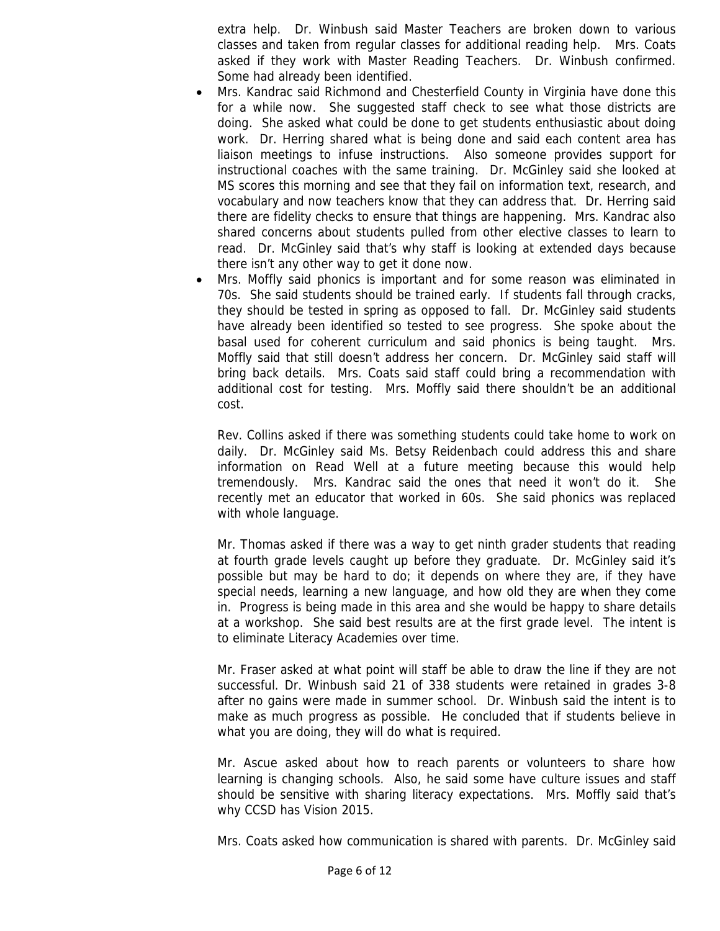extra help. Dr. Winbush said Master Teachers are broken down to various classes and taken from regular classes for additional reading help. Mrs. Coats asked if they work with Master Reading Teachers. Dr. Winbush confirmed. Some had already been identified.

- Mrs. Kandrac said Richmond and Chesterfield County in Virginia have done this for a while now. She suggested staff check to see what those districts are doing. She asked what could be done to get students enthusiastic about doing work. Dr. Herring shared what is being done and said each content area has liaison meetings to infuse instructions. Also someone provides support for instructional coaches with the same training. Dr. McGinley said she looked at MS scores this morning and see that they fail on information text, research, and vocabulary and now teachers know that they can address that. Dr. Herring said there are fidelity checks to ensure that things are happening. Mrs. Kandrac also shared concerns about students pulled from other elective classes to learn to read. Dr. McGinley said that's why staff is looking at extended days because there isn't any other way to get it done now.
- Mrs. Moffly said phonics is important and for some reason was eliminated in 70s. She said students should be trained early. If students fall through cracks, they should be tested in spring as opposed to fall. Dr. McGinley said students have already been identified so tested to see progress. She spoke about the basal used for coherent curriculum and said phonics is being taught. Mrs. Moffly said that still doesn't address her concern. Dr. McGinley said staff will bring back details. Mrs. Coats said staff could bring a recommendation with additional cost for testing. Mrs. Moffly said there shouldn't be an additional cost.

Rev. Collins asked if there was something students could take home to work on daily. Dr. McGinley said Ms. Betsy Reidenbach could address this and share information on Read Well at a future meeting because this would help tremendously. Mrs. Kandrac said the ones that need it won't do it. She recently met an educator that worked in 60s. She said phonics was replaced with whole language.

Mr. Thomas asked if there was a way to get ninth grader students that reading at fourth grade levels caught up before they graduate. Dr. McGinley said it's possible but may be hard to do; it depends on where they are, if they have special needs, learning a new language, and how old they are when they come in. Progress is being made in this area and she would be happy to share details at a workshop. She said best results are at the first grade level. The intent is to eliminate Literacy Academies over time.

Mr. Fraser asked at what point will staff be able to draw the line if they are not successful. Dr. Winbush said 21 of 338 students were retained in grades 3-8 after no gains were made in summer school. Dr. Winbush said the intent is to make as much progress as possible. He concluded that if students believe in what you are doing, they will do what is required.

Mr. Ascue asked about how to reach parents or volunteers to share how learning is changing schools. Also, he said some have culture issues and staff should be sensitive with sharing literacy expectations. Mrs. Moffly said that's why CCSD has Vision 2015.

Mrs. Coats asked how communication is shared with parents. Dr. McGinley said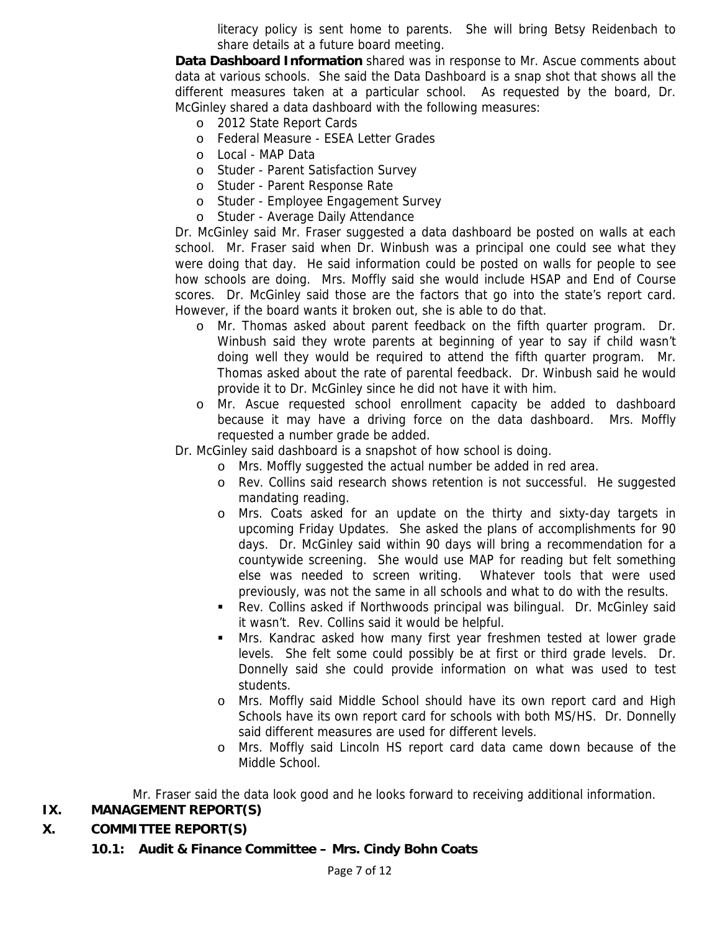literacy policy is sent home to parents. She will bring Betsy Reidenbach to share details at a future board meeting.

**Data Dashboard Information** shared was in response to Mr. Ascue comments about data at various schools. She said the Data Dashboard is a snap shot that shows all the different measures taken at a particular school. As requested by the board, Dr. McGinley shared a data dashboard with the following measures:

- o 2012 State Report Cards
- o Federal Measure ESEA Letter Grades
- o Local MAP Data
- o Studer Parent Satisfaction Survey
- o Studer Parent Response Rate
- o Studer Employee Engagement Survey
- o Studer Average Daily Attendance

Dr. McGinley said Mr. Fraser suggested a data dashboard be posted on walls at each school. Mr. Fraser said when Dr. Winbush was a principal one could see what they were doing that day. He said information could be posted on walls for people to see how schools are doing. Mrs. Moffly said she would include HSAP and End of Course scores. Dr. McGinley said those are the factors that go into the state's report card. However, if the board wants it broken out, she is able to do that.

- o Mr. Thomas asked about parent feedback on the fifth quarter program. Dr. Winbush said they wrote parents at beginning of year to say if child wasn't doing well they would be required to attend the fifth quarter program. Mr. Thomas asked about the rate of parental feedback. Dr. Winbush said he would provide it to Dr. McGinley since he did not have it with him.
- o Mr. Ascue requested school enrollment capacity be added to dashboard because it may have a driving force on the data dashboard. Mrs. Moffly requested a number grade be added.

Dr. McGinley said dashboard is a snapshot of how school is doing.

- o Mrs. Moffly suggested the actual number be added in red area.
- o Rev. Collins said research shows retention is not successful. He suggested mandating reading.
- o Mrs. Coats asked for an update on the thirty and sixty-day targets in upcoming Friday Updates. She asked the plans of accomplishments for 90 days. Dr. McGinley said within 90 days will bring a recommendation for a countywide screening. She would use MAP for reading but felt something else was needed to screen writing. Whatever tools that were used previously, was not the same in all schools and what to do with the results.
- **Rev. Collins asked if Northwoods principal was bilingual. Dr. McGinley said** it wasn't. Rev. Collins said it would be helpful.
- Mrs. Kandrac asked how many first year freshmen tested at lower grade levels. She felt some could possibly be at first or third grade levels. Dr. Donnelly said she could provide information on what was used to test students.
- o Mrs. Moffly said Middle School should have its own report card and High Schools have its own report card for schools with both MS/HS. Dr. Donnelly said different measures are used for different levels.
- o Mrs. Moffly said Lincoln HS report card data came down because of the Middle School.

Mr. Fraser said the data look good and he looks forward to receiving additional information.

# **IX. MANAGEMENT REPORT(S)**

# **X. COMMITTEE REPORT(S)**

 **10.1: Audit & Finance Committee – Mrs. Cindy Bohn Coats**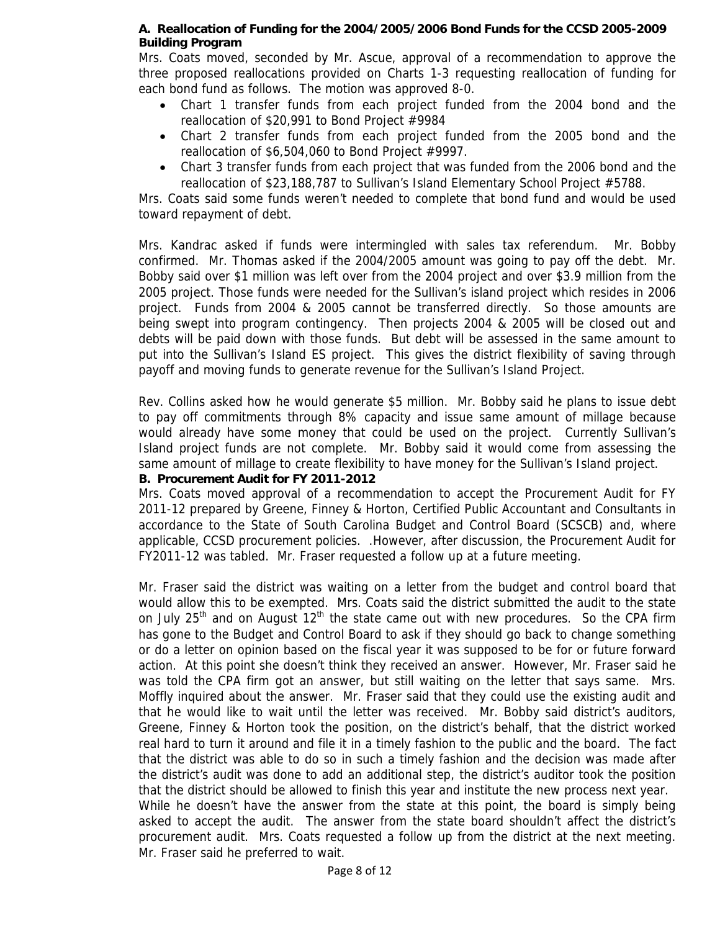#### **A. Reallocation of Funding for the 2004/2005/2006 Bond Funds for the CCSD 2005-2009 Building Program**

Mrs. Coats moved, seconded by Mr. Ascue, approval of a recommendation to approve the three proposed reallocations provided on Charts 1-3 requesting reallocation of funding for each bond fund as follows. The motion was approved 8-0.

- Chart 1 transfer funds from each project funded from the 2004 bond and the reallocation of \$20,991 to Bond Project #9984
- Chart 2 transfer funds from each project funded from the 2005 bond and the reallocation of \$6,504,060 to Bond Project #9997.
- Chart 3 transfer funds from each project that was funded from the 2006 bond and the reallocation of \$23,188,787 to Sullivan's Island Elementary School Project #5788.

Mrs. Coats said some funds weren't needed to complete that bond fund and would be used toward repayment of debt.

Mrs. Kandrac asked if funds were intermingled with sales tax referendum. Mr. Bobby confirmed. Mr. Thomas asked if the 2004/2005 amount was going to pay off the debt. Mr. Bobby said over \$1 million was left over from the 2004 project and over \$3.9 million from the 2005 project. Those funds were needed for the Sullivan's island project which resides in 2006 project. Funds from 2004 & 2005 cannot be transferred directly. So those amounts are being swept into program contingency. Then projects 2004 & 2005 will be closed out and debts will be paid down with those funds. But debt will be assessed in the same amount to put into the Sullivan's Island ES project. This gives the district flexibility of saving through payoff and moving funds to generate revenue for the Sullivan's Island Project.

Rev. Collins asked how he would generate \$5 million. Mr. Bobby said he plans to issue debt to pay off commitments through 8% capacity and issue same amount of millage because would already have some money that could be used on the project. Currently Sullivan's Island project funds are not complete. Mr. Bobby said it would come from assessing the same amount of millage to create flexibility to have money for the Sullivan's Island project.

#### **B. Procurement Audit for FY 2011-2012**

Mr. Fraser said he preferred to wait.

Mrs. Coats moved approval of a recommendation to accept the Procurement Audit for FY 2011-12 prepared by Greene, Finney & Horton, Certified Public Accountant and Consultants in accordance to the State of South Carolina Budget and Control Board (SCSCB) and, where applicable, CCSD procurement policies. .However, after discussion, the Procurement Audit for FY2011-12 was tabled. Mr. Fraser requested a follow up at a future meeting.

Mr. Fraser said the district was waiting on a letter from the budget and control board that would allow this to be exempted. Mrs. Coats said the district submitted the audit to the state on July 25<sup>th</sup> and on August 12<sup>th</sup> the state came out with new procedures. So the CPA firm has gone to the Budget and Control Board to ask if they should go back to change something or do a letter on opinion based on the fiscal year it was supposed to be for or future forward action. At this point she doesn't think they received an answer. However, Mr. Fraser said he was told the CPA firm got an answer, but still waiting on the letter that says same. Mrs. Moffly inquired about the answer. Mr. Fraser said that they could use the existing audit and that he would like to wait until the letter was received. Mr. Bobby said district's auditors, Greene, Finney & Horton took the position, on the district's behalf, that the district worked real hard to turn it around and file it in a timely fashion to the public and the board. The fact that the district was able to do so in such a timely fashion and the decision was made after the district's audit was done to add an additional step, the district's auditor took the position that the district should be allowed to finish this year and institute the new process next year. While he doesn't have the answer from the state at this point, the board is simply being asked to accept the audit. The answer from the state board shouldn't affect the district's procurement audit. Mrs. Coats requested a follow up from the district at the next meeting.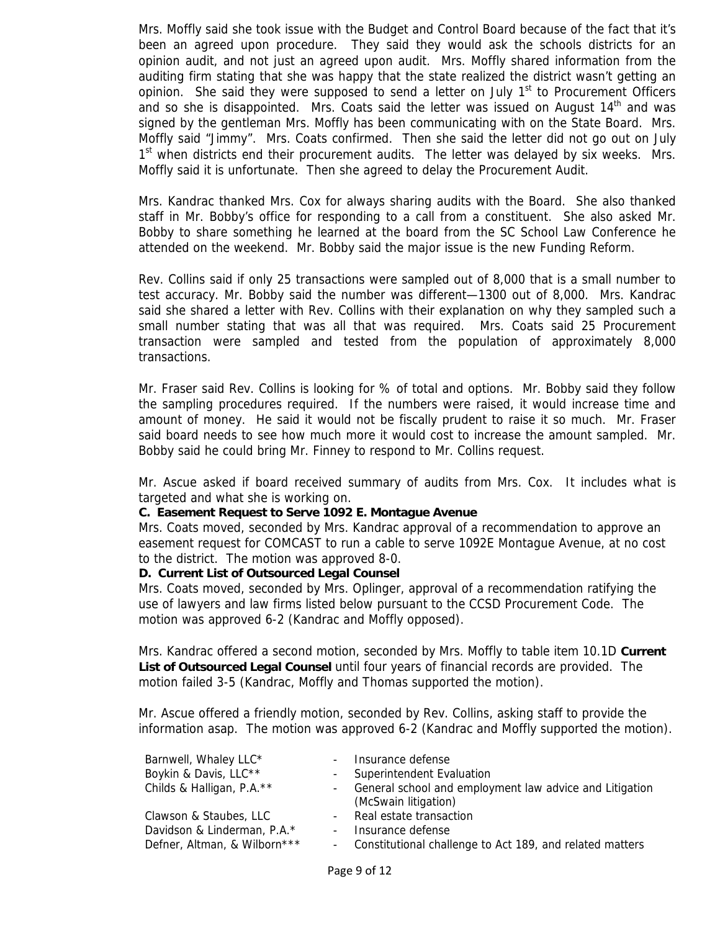Mrs. Moffly said she took issue with the Budget and Control Board because of the fact that it's been an agreed upon procedure. They said they would ask the schools districts for an opinion audit, and not just an agreed upon audit. Mrs. Moffly shared information from the auditing firm stating that she was happy that the state realized the district wasn't getting an opinion. She said they were supposed to send a letter on July  $1<sup>st</sup>$  to Procurement Officers and so she is disappointed. Mrs. Coats said the letter was issued on August  $14<sup>th</sup>$  and was signed by the gentleman Mrs. Moffly has been communicating with on the State Board. Mrs. Moffly said "Jimmy". Mrs. Coats confirmed. Then she said the letter did not go out on July  $1<sup>st</sup>$  when districts end their procurement audits. The letter was delayed by six weeks. Mrs. Moffly said it is unfortunate. Then she agreed to delay the Procurement Audit.

Mrs. Kandrac thanked Mrs. Cox for always sharing audits with the Board. She also thanked staff in Mr. Bobby's office for responding to a call from a constituent. She also asked Mr. Bobby to share something he learned at the board from the SC School Law Conference he attended on the weekend. Mr. Bobby said the major issue is the new Funding Reform.

Rev. Collins said if only 25 transactions were sampled out of 8,000 that is a small number to test accuracy. Mr. Bobby said the number was different—1300 out of 8,000. Mrs. Kandrac said she shared a letter with Rev. Collins with their explanation on why they sampled such a small number stating that was all that was required. Mrs. Coats said 25 Procurement transaction were sampled and tested from the population of approximately 8,000 transactions.

Mr. Fraser said Rev. Collins is looking for % of total and options. Mr. Bobby said they follow the sampling procedures required. If the numbers were raised, it would increase time and amount of money. He said it would not be fiscally prudent to raise it so much. Mr. Fraser said board needs to see how much more it would cost to increase the amount sampled. Mr. Bobby said he could bring Mr. Finney to respond to Mr. Collins request.

Mr. Ascue asked if board received summary of audits from Mrs. Cox. It includes what is targeted and what she is working on.

#### **C. Easement Request to Serve 1092 E. Montague Avenue**

Mrs. Coats moved, seconded by Mrs. Kandrac approval of a recommendation to approve an easement request for COMCAST to run a cable to serve 1092E Montague Avenue, at no cost to the district. The motion was approved 8-0.

#### **D. Current List of Outsourced Legal Counsel**

Mrs. Coats moved, seconded by Mrs. Oplinger, approval of a recommendation ratifying the use of lawyers and law firms listed below pursuant to the CCSD Procurement Code. The motion was approved 6-2 (Kandrac and Moffly opposed).

Mrs. Kandrac offered a second motion, seconded by Mrs. Moffly to table item 10.1D **Current List of Outsourced Legal Counsel** until four years of financial records are provided. The motion failed 3-5 (Kandrac, Moffly and Thomas supported the motion).

Mr. Ascue offered a friendly motion, seconded by Rev. Collins, asking staff to provide the information asap. The motion was approved 6-2 (Kandrac and Moffly supported the motion).

| Barnwell, Whaley LLC*        |                | - Insurance defense                                                               |
|------------------------------|----------------|-----------------------------------------------------------------------------------|
| Boykin & Davis, LLC**        |                | - Superintendent Evaluation                                                       |
| Childs & Halligan, P.A.**    |                | - General school and employment law advice and Litigation<br>(McSwain litigation) |
| Clawson & Staubes, LLC       |                | - Real estate transaction                                                         |
| Davidson & Linderman, P.A.*  | $\blacksquare$ | Insurance defense                                                                 |
| Defner, Altman, & Wilborn*** |                | - Constitutional challenge to Act 189, and related matters                        |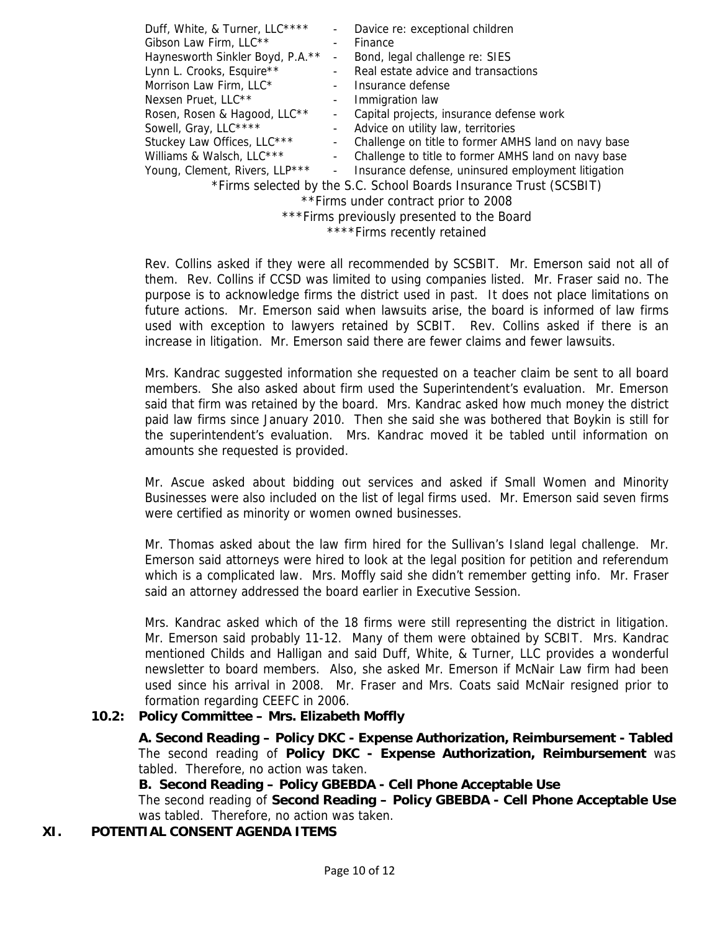|                                            | Davice re: exceptional children                                    |  |  |
|--------------------------------------------|--------------------------------------------------------------------|--|--|
|                                            | Finance                                                            |  |  |
| Haynesworth Sinkler Boyd, P.A.**           | Bond, legal challenge re: SIES                                     |  |  |
|                                            | Real estate advice and transactions                                |  |  |
|                                            | Insurance defense                                                  |  |  |
|                                            | Immigration law                                                    |  |  |
| ۰                                          | Capital projects, insurance defense work                           |  |  |
| $\sim$                                     | Advice on utility law, territories                                 |  |  |
|                                            | Challenge on title to former AMHS land on navy base                |  |  |
| ۰.                                         | Challenge to title to former AMHS land on navy base                |  |  |
| $\sim$                                     | Insurance defense, uninsured employment litigation                 |  |  |
|                                            | *Firms selected by the S.C. School Boards Insurance Trust (SCSBIT) |  |  |
| ** Firms under contract prior to 2008      |                                                                    |  |  |
| ***Firms previously presented to the Board |                                                                    |  |  |
|                                            |                                                                    |  |  |

\*\*\*\*Firms recently retained

Rev. Collins asked if they were all recommended by SCSBIT. Mr. Emerson said not all of them. Rev. Collins if CCSD was limited to using companies listed. Mr. Fraser said no. The purpose is to acknowledge firms the district used in past. It does not place limitations on future actions. Mr. Emerson said when lawsuits arise, the board is informed of law firms used with exception to lawyers retained by SCBIT. Rev. Collins asked if there is an increase in litigation. Mr. Emerson said there are fewer claims and fewer lawsuits.

Mrs. Kandrac suggested information she requested on a teacher claim be sent to all board members. She also asked about firm used the Superintendent's evaluation. Mr. Emerson said that firm was retained by the board. Mrs. Kandrac asked how much money the district paid law firms since January 2010. Then she said she was bothered that Boykin is still for the superintendent's evaluation. Mrs. Kandrac moved it be tabled until information on amounts she requested is provided.

Mr. Ascue asked about bidding out services and asked if Small Women and Minority Businesses were also included on the list of legal firms used. Mr. Emerson said seven firms were certified as minority or women owned businesses.

Mr. Thomas asked about the law firm hired for the Sullivan's Island legal challenge. Mr. Emerson said attorneys were hired to look at the legal position for petition and referendum which is a complicated law. Mrs. Moffly said she didn't remember getting info. Mr. Fraser said an attorney addressed the board earlier in Executive Session.

Mrs. Kandrac asked which of the 18 firms were still representing the district in litigation. Mr. Emerson said probably 11-12. Many of them were obtained by SCBIT. Mrs. Kandrac mentioned Childs and Halligan and said Duff, White, & Turner, LLC provides a wonderful newsletter to board members. Also, she asked Mr. Emerson if McNair Law firm had been used since his arrival in 2008. Mr. Fraser and Mrs. Coats said McNair resigned prior to formation regarding CEEFC in 2006.

#### **10.2: Policy Committee – Mrs. Elizabeth Moffly**

 **A. Second Reading – Policy DKC - Expense Authorization, Reimbursement - Tabled**  The second reading of **Policy DKC - Expense Authorization, Reimbursement** was tabled. Therefore, no action was taken.

 **B. Second Reading – Policy GBEBDA - Cell Phone Acceptable Use** 

The second reading of **Second Reading – Policy GBEBDA - Cell Phone Acceptable Use** was tabled. Therefore, no action was taken.

#### **XI. POTENTIAL CONSENT AGENDA ITEMS**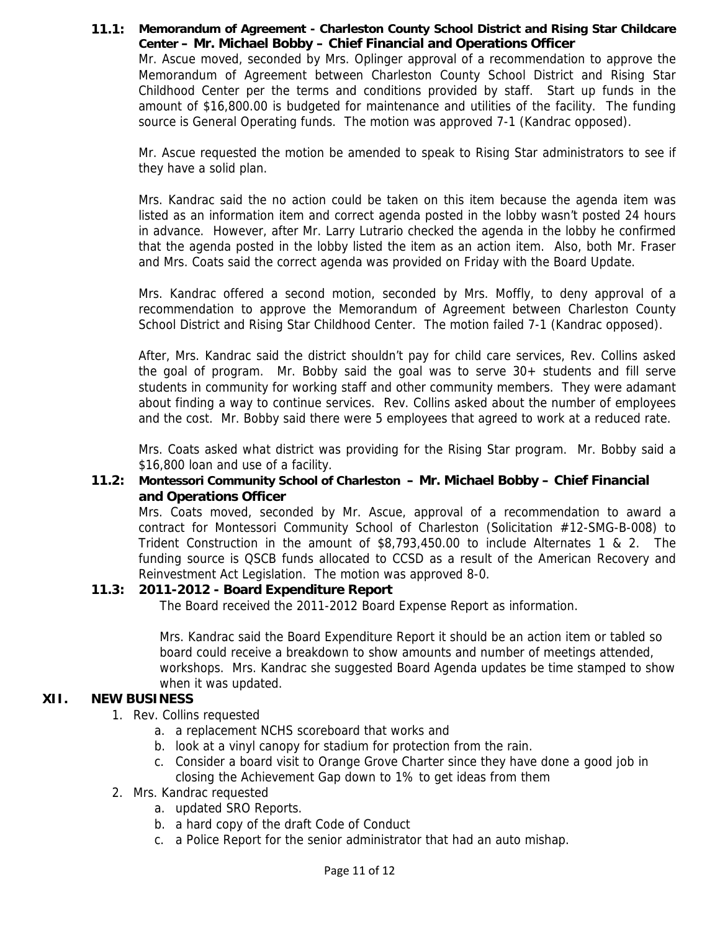#### **11.1: Memorandum of Agreement - Charleston County School District and Rising Star Childcare Center – Mr. Michael Bobby – Chief Financial and Operations Officer**  Mr. Ascue moved, seconded by Mrs. Oplinger approval of a recommendation to approve the Memorandum of Agreement between Charleston County School District and Rising Star Childhood Center per the terms and conditions provided by staff. Start up funds in the amount of \$16,800.00 is budgeted for maintenance and utilities of the facility. The funding source is General Operating funds. The motion was approved 7-1 (Kandrac opposed).

Mr. Ascue requested the motion be amended to speak to Rising Star administrators to see if they have a solid plan.

Mrs. Kandrac said the no action could be taken on this item because the agenda item was listed as an information item and correct agenda posted in the lobby wasn't posted 24 hours in advance. However, after Mr. Larry Lutrario checked the agenda in the lobby he confirmed that the agenda posted in the lobby listed the item as an action item. Also, both Mr. Fraser and Mrs. Coats said the correct agenda was provided on Friday with the Board Update.

Mrs. Kandrac offered a second motion, seconded by Mrs. Moffly, to deny approval of a recommendation to approve the Memorandum of Agreement between Charleston County School District and Rising Star Childhood Center. The motion failed 7-1 (Kandrac opposed).

After, Mrs. Kandrac said the district shouldn't pay for child care services, Rev. Collins asked the goal of program. Mr. Bobby said the goal was to serve 30+ students and fill serve students in community for working staff and other community members. They were adamant about finding a way to continue services. Rev. Collins asked about the number of employees and the cost. Mr. Bobby said there were 5 employees that agreed to work at a reduced rate.

Mrs. Coats asked what district was providing for the Rising Star program. Mr. Bobby said a \$16,800 loan and use of a facility.

#### **11.2: Montessori Community School of Charleston – Mr. Michael Bobby – Chief Financial and Operations Officer**

Mrs. Coats moved, seconded by Mr. Ascue, approval of a recommendation to award a contract for Montessori Community School of Charleston (Solicitation #12-SMG-B-008) to Trident Construction in the amount of \$8,793,450.00 to include Alternates 1 & 2. The funding source is QSCB funds allocated to CCSD as a result of the American Recovery and Reinvestment Act Legislation. The motion was approved 8-0.

#### **11.3: 2011-2012 - Board Expenditure Report**

The Board received the 2011-2012 Board Expense Report as information.

Mrs. Kandrac said the Board Expenditure Report it should be an action item or tabled so board could receive a breakdown to show amounts and number of meetings attended, workshops. Mrs. Kandrac she suggested Board Agenda updates be time stamped to show when it was updated.

# **XII. NEW BUSINESS**

- 1. Rev. Collins requested
	- a. a replacement NCHS scoreboard that works and
	- b. look at a vinyl canopy for stadium for protection from the rain.
	- c. Consider a board visit to Orange Grove Charter since they have done a good job in closing the Achievement Gap down to 1% to get ideas from them
- 2. Mrs. Kandrac requested
	- a. updated SRO Reports.
	- b. a hard copy of the draft Code of Conduct
	- c. a Police Report for the senior administrator that had an auto mishap.